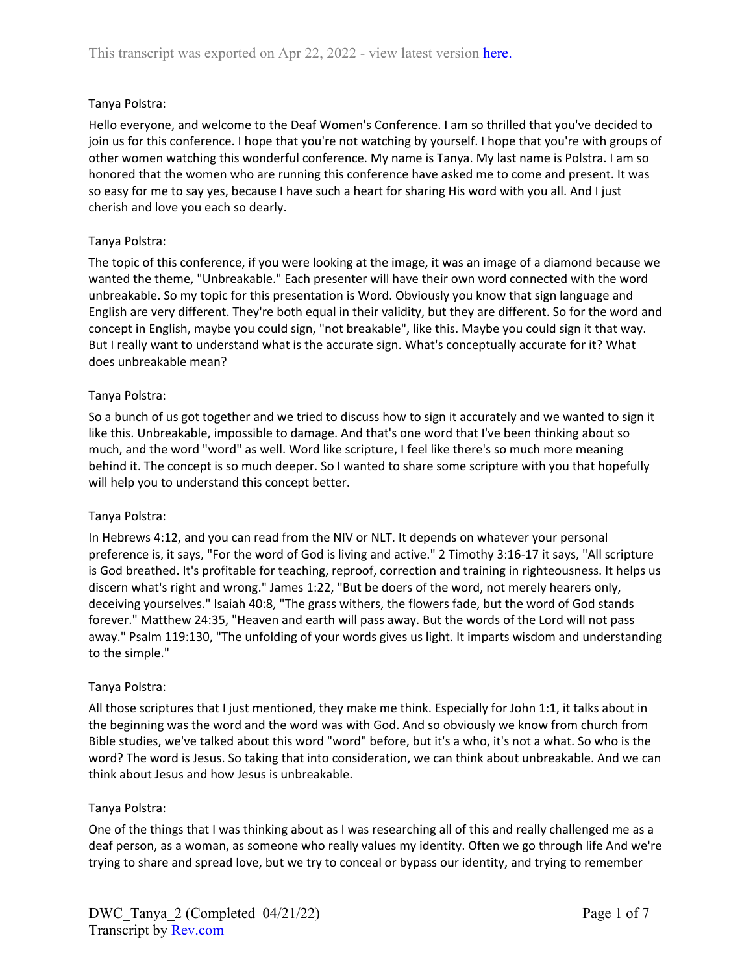## Tanya Polstra:

Hello everyone, and welcome to the Deaf Women's Conference. I am so thrilled that you've decided to join us for this conference. I hope that you're not watching by yourself. I hope that you're with groups of other women watching this wonderful conference. My name is Tanya. My last name is Polstra. I am so honored that the women who are running this conference have asked me to come and present. It was so easy for me to say yes, because I have such a heart for sharing His word with you all. And I just cherish and love you each so dearly.

### Tanya Polstra:

The topic of this conference, if you were looking at the image, it was an image of a diamond because we wanted the theme, "Unbreakable." Each presenter will have their own word connected with the word unbreakable. So my topic for this presentation is Word. Obviously you know that sign language and English are very different. They're both equal in their validity, but they are different. So for the word and concept in English, maybe you could sign, "not breakable", like this. Maybe you could sign it that way. But I really want to understand what is the accurate sign. What's conceptually accurate for it? What does unbreakable mean?

### Tanya Polstra:

So a bunch of us got together and we tried to discuss how to sign it accurately and we wanted to sign it like this. Unbreakable, impossible to damage. And that's one word that I've been thinking about so much, and the word "word" as well. Word like scripture, I feel like there's so much more meaning behind it. The concept is so much deeper. So I wanted to share some scripture with you that hopefully will help you to understand this concept better.

### Tanya Polstra:

In Hebrews 4:12, and you can read from the NIV or NLT. It depends on whatever your personal preference is, it says, "For the word of God is living and active." 2 Timothy 3:16-17 it says, "All scripture is God breathed. It's profitable for teaching, reproof, correction and training in righteousness. It helps us discern what's right and wrong." James 1:22, "But be doers of the word, not merely hearers only, deceiving yourselves." Isaiah 40:8, "The grass withers, the flowers fade, but the word of God stands forever." Matthew 24:35, "Heaven and earth will pass away. But the words of the Lord will not pass away." Psalm 119:130, "The unfolding of your words gives us light. It imparts wisdom and understanding to the simple."

### Tanya Polstra:

All those scriptures that I just mentioned, they make me think. Especially for John 1:1, it talks about in the beginning was the word and the word was with God. And so obviously we know from church from Bible studies, we've talked about this word "word" before, but it's a who, it's not a what. So who is the word? The word is Jesus. So taking that into consideration, we can think about unbreakable. And we can think about Jesus and how Jesus is unbreakable.

### Tanya Polstra:

One of the things that I was thinking about as I was researching all of this and really challenged me as a deaf person, as a woman, as someone who really values my identity. Often we go through life And we're trying to share and spread love, but we try to conceal or bypass our identity, and trying to remember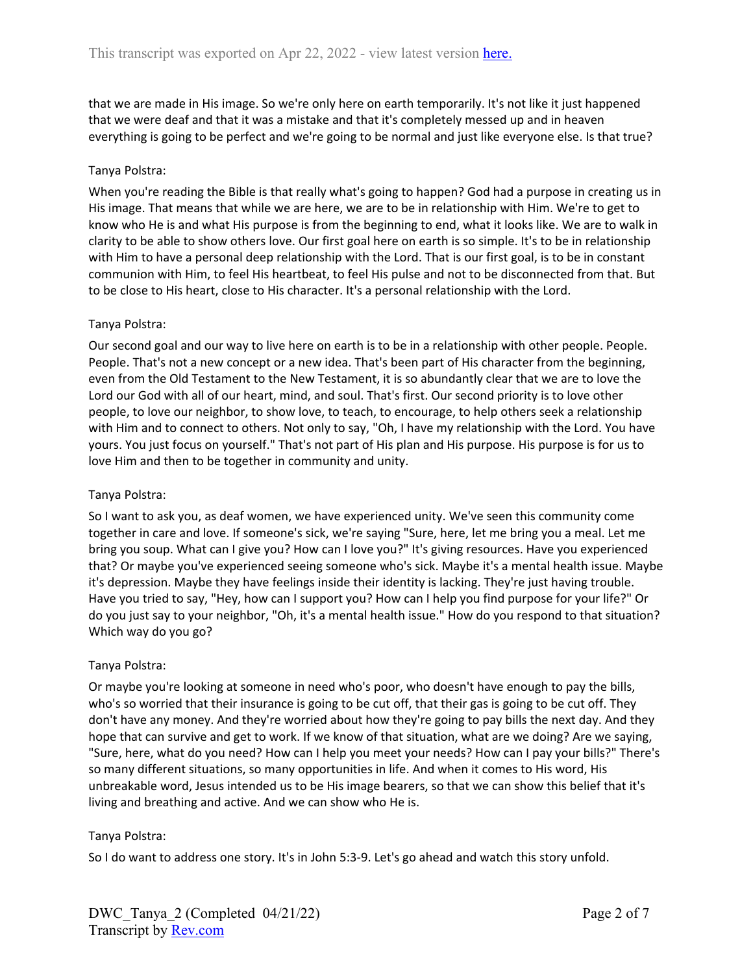that we are made in His image. So we're only here on earth temporarily. It's not like it just happened that we were deaf and that it was a mistake and that it's completely messed up and in heaven everything is going to be perfect and we're going to be normal and just like everyone else. Is that true?

### Tanya Polstra:

When you're reading the Bible is that really what's going to happen? God had a purpose in creating us in His image. That means that while we are here, we are to be in relationship with Him. We're to get to know who He is and what His purpose is from the beginning to end, what it looks like. We are to walk in clarity to be able to show others love. Our first goal here on earth is so simple. It's to be in relationship with Him to have a personal deep relationship with the Lord. That is our first goal, is to be in constant communion with Him, to feel His heartbeat, to feel His pulse and not to be disconnected from that. But to be close to His heart, close to His character. It's a personal relationship with the Lord.

### Tanya Polstra:

Our second goal and our way to live here on earth is to be in a relationship with other people. People. People. That's not a new concept or a new idea. That's been part of His character from the beginning, even from the Old Testament to the New Testament, it is so abundantly clear that we are to love the Lord our God with all of our heart, mind, and soul. That's first. Our second priority is to love other people, to love our neighbor, to show love, to teach, to encourage, to help others seek a relationship with Him and to connect to others. Not only to say, "Oh, I have my relationship with the Lord. You have yours. You just focus on yourself." That's not part of His plan and His purpose. His purpose is for us to love Him and then to be together in community and unity.

### Tanya Polstra:

So I want to ask you, as deaf women, we have experienced unity. We've seen this community come together in care and love. If someone's sick, we're saying "Sure, here, let me bring you a meal. Let me bring you soup. What can I give you? How can I love you?" It's giving resources. Have you experienced that? Or maybe you've experienced seeing someone who's sick. Maybe it's a mental health issue. Maybe it's depression. Maybe they have feelings inside their identity is lacking. They're just having trouble. Have you tried to say, "Hey, how can I support you? How can I help you find purpose for your life?" Or do you just say to your neighbor, "Oh, it's a mental health issue." How do you respond to that situation? Which way do you go?

### Tanya Polstra:

Or maybe you're looking at someone in need who's poor, who doesn't have enough to pay the bills, who's so worried that their insurance is going to be cut off, that their gas is going to be cut off. They don't have any money. And they're worried about how they're going to pay bills the next day. And they hope that can survive and get to work. If we know of that situation, what are we doing? Are we saying, "Sure, here, what do you need? How can I help you meet your needs? How can I pay your bills?" There's so many different situations, so many opportunities in life. And when it comes to His word, His unbreakable word, Jesus intended us to be His image bearers, so that we can show this belief that it's living and breathing and active. And we can show who He is.

### Tanya Polstra:

So I do want to address one story. It's in John 5:3-9. Let's go ahead and watch this story unfold.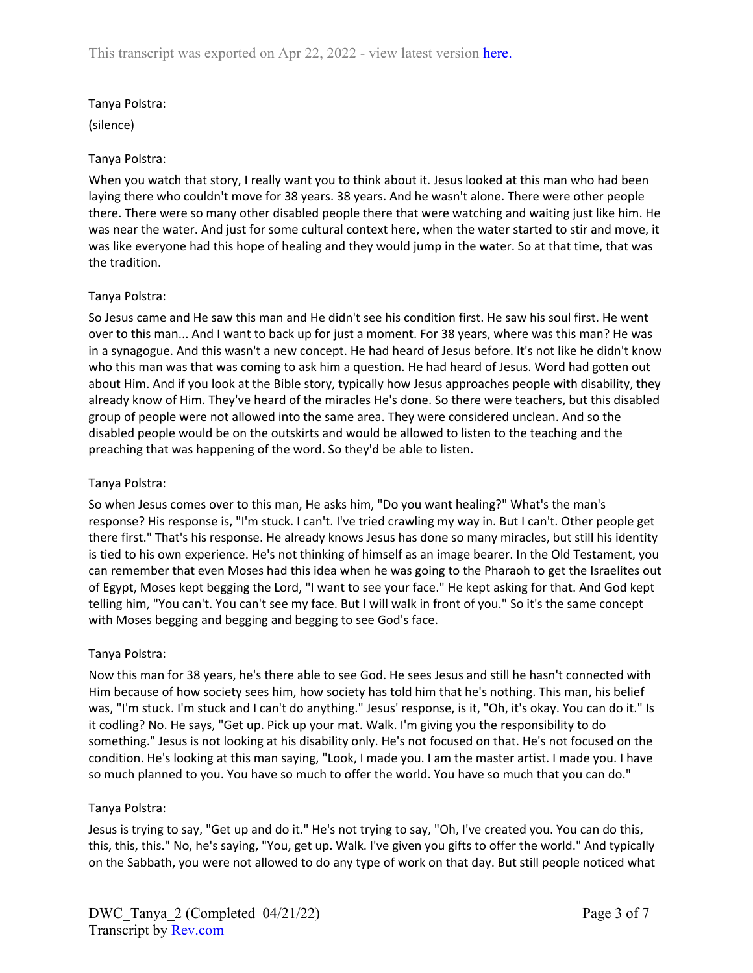## Tanya Polstra:

(silence)

### Tanya Polstra:

When you watch that story, I really want you to think about it. Jesus looked at this man who had been laying there who couldn't move for 38 years. 38 years. And he wasn't alone. There were other people there. There were so many other disabled people there that were watching and waiting just like him. He was near the water. And just for some cultural context here, when the water started to stir and move, it was like everyone had this hope of healing and they would jump in the water. So at that time, that was the tradition.

## Tanya Polstra:

So Jesus came and He saw this man and He didn't see his condition first. He saw his soul first. He went over to this man... And I want to back up for just a moment. For 38 years, where was this man? He was in a synagogue. And this wasn't a new concept. He had heard of Jesus before. It's not like he didn't know who this man was that was coming to ask him a question. He had heard of Jesus. Word had gotten out about Him. And if you look at the Bible story, typically how Jesus approaches people with disability, they already know of Him. They've heard of the miracles He's done. So there were teachers, but this disabled group of people were not allowed into the same area. They were considered unclean. And so the disabled people would be on the outskirts and would be allowed to listen to the teaching and the preaching that was happening of the word. So they'd be able to listen.

## Tanya Polstra:

So when Jesus comes over to this man, He asks him, "Do you want healing?" What's the man's response? His response is, "I'm stuck. I can't. I've tried crawling my way in. But I can't. Other people get there first." That's his response. He already knows Jesus has done so many miracles, but still his identity is tied to his own experience. He's not thinking of himself as an image bearer. In the Old Testament, you can remember that even Moses had this idea when he was going to the Pharaoh to get the Israelites out of Egypt, Moses kept begging the Lord, "I want to see your face." He kept asking for that. And God kept telling him, "You can't. You can't see my face. But I will walk in front of you." So it's the same concept with Moses begging and begging and begging to see God's face.

# Tanya Polstra:

Now this man for 38 years, he's there able to see God. He sees Jesus and still he hasn't connected with Him because of how society sees him, how society has told him that he's nothing. This man, his belief was, "I'm stuck. I'm stuck and I can't do anything." Jesus' response, is it, "Oh, it's okay. You can do it." Is it codling? No. He says, "Get up. Pick up your mat. Walk. I'm giving you the responsibility to do something." Jesus is not looking at his disability only. He's not focused on that. He's not focused on the condition. He's looking at this man saying, "Look, I made you. I am the master artist. I made you. I have so much planned to you. You have so much to offer the world. You have so much that you can do."

### Tanya Polstra:

Jesus is trying to say, "Get up and do it." He's not trying to say, "Oh, I've created you. You can do this, this, this, this." No, he's saying, "You, get up. Walk. I've given you gifts to offer the world." And typically on the Sabbath, you were not allowed to do any type of work on that day. But still people noticed what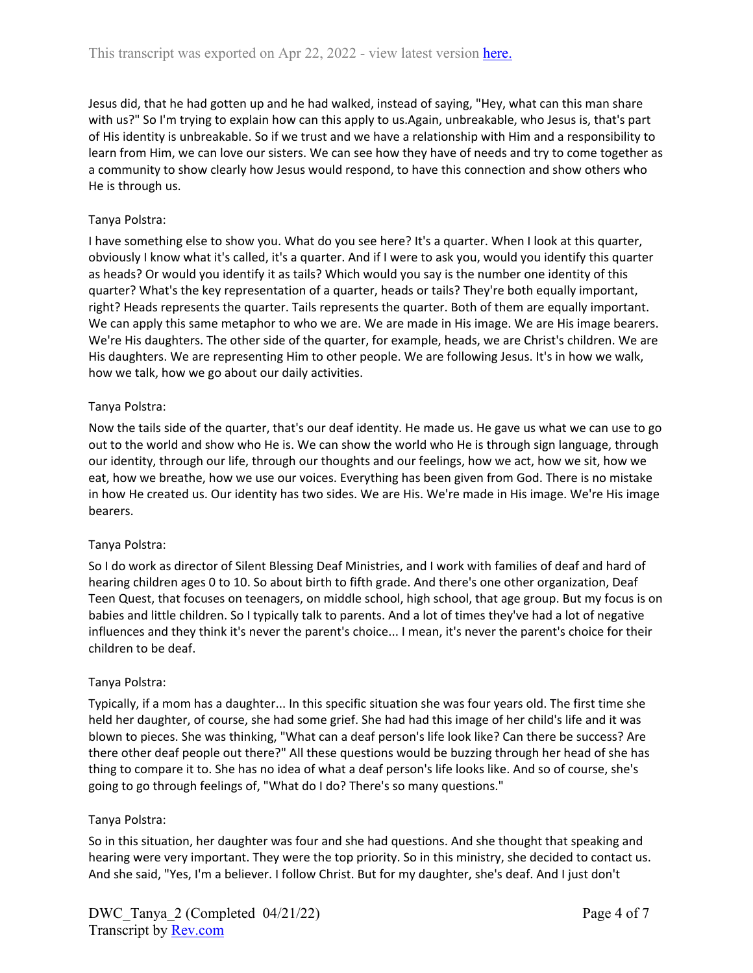Jesus did, that he had gotten up and he had walked, instead of saying, "Hey, what can this man share with us?" So I'm trying to explain how can this apply to us.Again, unbreakable, who Jesus is, that's part of His identity is unbreakable. So if we trust and we have a relationship with Him and a responsibility to learn from Him, we can love our sisters. We can see how they have of needs and try to come together as a community to show clearly how Jesus would respond, to have this connection and show others who He is through us.

# Tanya Polstra:

I have something else to show you. What do you see here? It's a quarter. When I look at this quarter, obviously I know what it's called, it's a quarter. And if I were to ask you, would you identify this quarter as heads? Or would you identify it as tails? Which would you say is the number one identity of this quarter? What's the key representation of a quarter, heads or tails? They're both equally important, right? Heads represents the quarter. Tails represents the quarter. Both of them are equally important. We can apply this same metaphor to who we are. We are made in His image. We are His image bearers. We're His daughters. The other side of the quarter, for example, heads, we are Christ's children. We are His daughters. We are representing Him to other people. We are following Jesus. It's in how we walk, how we talk, how we go about our daily activities.

# Tanya Polstra:

Now the tails side of the quarter, that's our deaf identity. He made us. He gave us what we can use to go out to the world and show who He is. We can show the world who He is through sign language, through our identity, through our life, through our thoughts and our feelings, how we act, how we sit, how we eat, how we breathe, how we use our voices. Everything has been given from God. There is no mistake in how He created us. Our identity has two sides. We are His. We're made in His image. We're His image bearers.

# Tanya Polstra:

So I do work as director of Silent Blessing Deaf Ministries, and I work with families of deaf and hard of hearing children ages 0 to 10. So about birth to fifth grade. And there's one other organization, Deaf Teen Quest, that focuses on teenagers, on middle school, high school, that age group. But my focus is on babies and little children. So I typically talk to parents. And a lot of times they've had a lot of negative influences and they think it's never the parent's choice... I mean, it's never the parent's choice for their children to be deaf.

# Tanya Polstra:

Typically, if a mom has a daughter... In this specific situation she was four years old. The first time she held her daughter, of course, she had some grief. She had had this image of her child's life and it was blown to pieces. She was thinking, "What can a deaf person's life look like? Can there be success? Are there other deaf people out there?" All these questions would be buzzing through her head of she has thing to compare it to. She has no idea of what a deaf person's life looks like. And so of course, she's going to go through feelings of, "What do I do? There's so many questions."

# Tanya Polstra:

So in this situation, her daughter was four and she had questions. And she thought that speaking and hearing were very important. They were the top priority. So in this ministry, she decided to contact us. And she said, "Yes, I'm a believer. I follow Christ. But for my daughter, she's deaf. And I just don't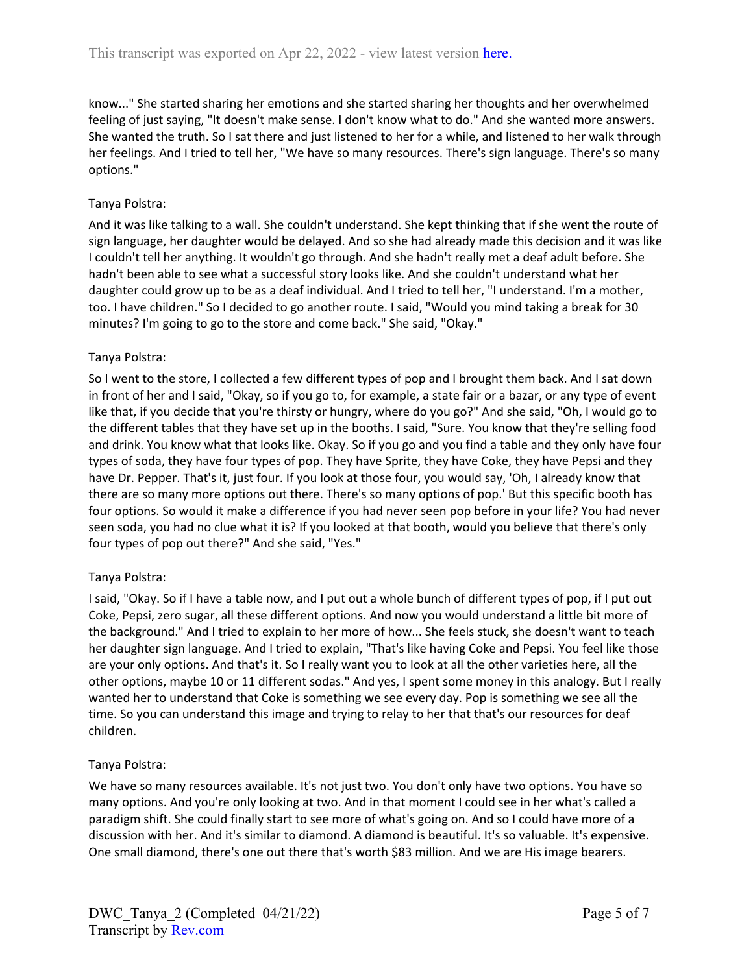know..." She started sharing her emotions and she started sharing her thoughts and her overwhelmed feeling of just saying, "It doesn't make sense. I don't know what to do." And she wanted more answers. She wanted the truth. So I sat there and just listened to her for a while, and listened to her walk through her feelings. And I tried to tell her, "We have so many resources. There's sign language. There's so many options."

### Tanya Polstra:

And it was like talking to a wall. She couldn't understand. She kept thinking that if she went the route of sign language, her daughter would be delayed. And so she had already made this decision and it was like I couldn't tell her anything. It wouldn't go through. And she hadn't really met a deaf adult before. She hadn't been able to see what a successful story looks like. And she couldn't understand what her daughter could grow up to be as a deaf individual. And I tried to tell her, "I understand. I'm a mother, too. I have children." So I decided to go another route. I said, "Would you mind taking a break for 30 minutes? I'm going to go to the store and come back." She said, "Okay."

## Tanya Polstra:

So I went to the store, I collected a few different types of pop and I brought them back. And I sat down in front of her and I said, "Okay, so if you go to, for example, a state fair or a bazar, or any type of event like that, if you decide that you're thirsty or hungry, where do you go?" And she said, "Oh, I would go to the different tables that they have set up in the booths. I said, "Sure. You know that they're selling food and drink. You know what that looks like. Okay. So if you go and you find a table and they only have four types of soda, they have four types of pop. They have Sprite, they have Coke, they have Pepsi and they have Dr. Pepper. That's it, just four. If you look at those four, you would say, 'Oh, I already know that there are so many more options out there. There's so many options of pop.' But this specific booth has four options. So would it make a difference if you had never seen pop before in your life? You had never seen soda, you had no clue what it is? If you looked at that booth, would you believe that there's only four types of pop out there?" And she said, "Yes."

### Tanya Polstra:

I said, "Okay. So if I have a table now, and I put out a whole bunch of different types of pop, if I put out Coke, Pepsi, zero sugar, all these different options. And now you would understand a little bit more of the background." And I tried to explain to her more of how... She feels stuck, she doesn't want to teach her daughter sign language. And I tried to explain, "That's like having Coke and Pepsi. You feel like those are your only options. And that's it. So I really want you to look at all the other varieties here, all the other options, maybe 10 or 11 different sodas." And yes, I spent some money in this analogy. But I really wanted her to understand that Coke is something we see every day. Pop is something we see all the time. So you can understand this image and trying to relay to her that that's our resources for deaf children.

### Tanya Polstra:

We have so many resources available. It's not just two. You don't only have two options. You have so many options. And you're only looking at two. And in that moment I could see in her what's called a paradigm shift. She could finally start to see more of what's going on. And so I could have more of a discussion with her. And it's similar to diamond. A diamond is beautiful. It's so valuable. It's expensive. One small diamond, there's one out there that's worth \$83 million. And we are His image bearers.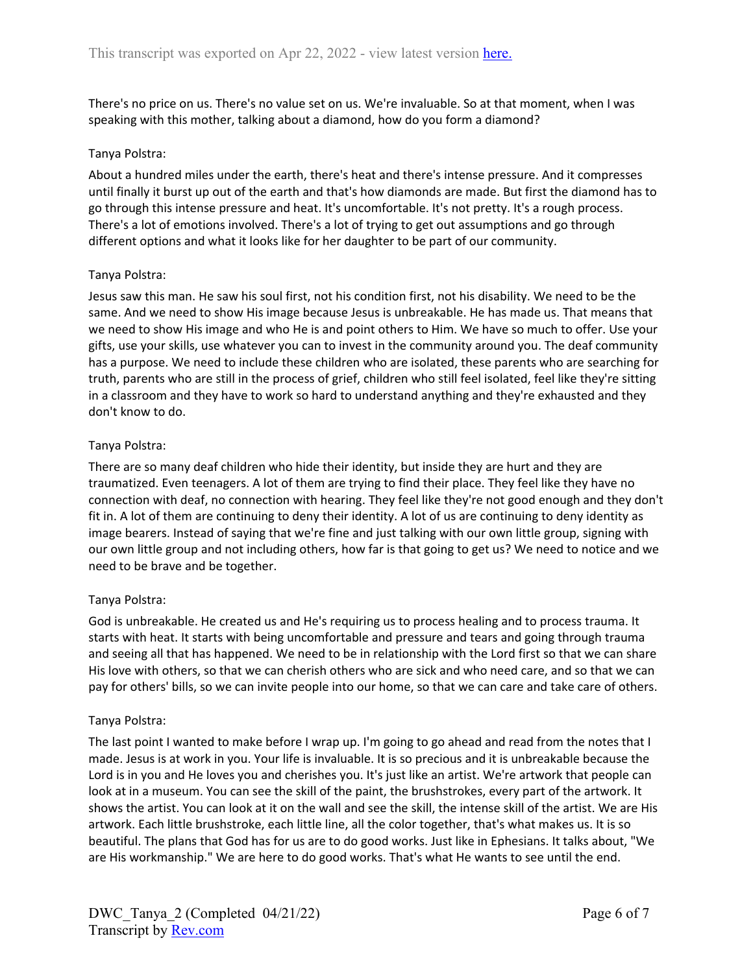There's no price on us. There's no value set on us. We're invaluable. So at that moment, when I was speaking with this mother, talking about a diamond, how do you form a diamond?

### Tanya Polstra:

About a hundred miles under the earth, there's heat and there's intense pressure. And it compresses until finally it burst up out of the earth and that's how diamonds are made. But first the diamond has to go through this intense pressure and heat. It's uncomfortable. It's not pretty. It's a rough process. There's a lot of emotions involved. There's a lot of trying to get out assumptions and go through different options and what it looks like for her daughter to be part of our community.

### Tanya Polstra:

Jesus saw this man. He saw his soul first, not his condition first, not his disability. We need to be the same. And we need to show His image because Jesus is unbreakable. He has made us. That means that we need to show His image and who He is and point others to Him. We have so much to offer. Use your gifts, use your skills, use whatever you can to invest in the community around you. The deaf community has a purpose. We need to include these children who are isolated, these parents who are searching for truth, parents who are still in the process of grief, children who still feel isolated, feel like they're sitting in a classroom and they have to work so hard to understand anything and they're exhausted and they don't know to do.

## Tanya Polstra:

There are so many deaf children who hide their identity, but inside they are hurt and they are traumatized. Even teenagers. A lot of them are trying to find their place. They feel like they have no connection with deaf, no connection with hearing. They feel like they're not good enough and they don't fit in. A lot of them are continuing to deny their identity. A lot of us are continuing to deny identity as image bearers. Instead of saying that we're fine and just talking with our own little group, signing with our own little group and not including others, how far is that going to get us? We need to notice and we need to be brave and be together.

### Tanya Polstra:

God is unbreakable. He created us and He's requiring us to process healing and to process trauma. It starts with heat. It starts with being uncomfortable and pressure and tears and going through trauma and seeing all that has happened. We need to be in relationship with the Lord first so that we can share His love with others, so that we can cherish others who are sick and who need care, and so that we can pay for others' bills, so we can invite people into our home, so that we can care and take care of others.

### Tanya Polstra:

The last point I wanted to make before I wrap up. I'm going to go ahead and read from the notes that I made. Jesus is at work in you. Your life is invaluable. It is so precious and it is unbreakable because the Lord is in you and He loves you and cherishes you. It's just like an artist. We're artwork that people can look at in a museum. You can see the skill of the paint, the brushstrokes, every part of the artwork. It shows the artist. You can look at it on the wall and see the skill, the intense skill of the artist. We are His artwork. Each little brushstroke, each little line, all the color together, that's what makes us. It is so beautiful. The plans that God has for us are to do good works. Just like in Ephesians. It talks about, "We are His workmanship." We are here to do good works. That's what He wants to see until the end.